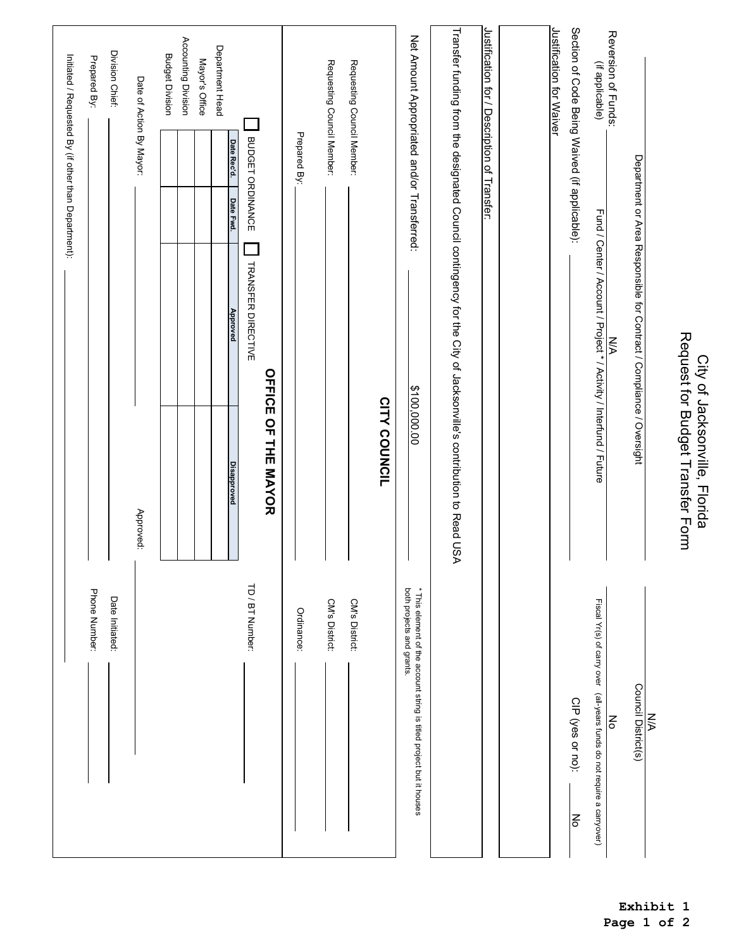|                                                                                                                        |                                                                                                                       |                                                                                   | Initiated / Requested By (if other than Department): |                          |                                               |
|------------------------------------------------------------------------------------------------------------------------|-----------------------------------------------------------------------------------------------------------------------|-----------------------------------------------------------------------------------|------------------------------------------------------|--------------------------|-----------------------------------------------|
| Phone Number:                                                                                                          |                                                                                                                       |                                                                                   |                                                      |                          | Prepared By:                                  |
| Date Initiated:                                                                                                        |                                                                                                                       |                                                                                   |                                                      |                          | Division Chief:                               |
|                                                                                                                        | Approved:                                                                                                             |                                                                                   |                                                      | Date of Action By Mayor: |                                               |
|                                                                                                                        |                                                                                                                       |                                                                                   |                                                      |                          | <b>Budget Division</b>                        |
|                                                                                                                        |                                                                                                                       |                                                                                   |                                                      |                          | Accounting Division                           |
|                                                                                                                        |                                                                                                                       |                                                                                   |                                                      |                          | Mayor's Office                                |
|                                                                                                                        | <b>Disapproved</b>                                                                                                    | <b>Approved</b>                                                                   | Date Fwd.                                            | Date Rec'd.              | Department Head                               |
| TD / BT Number:                                                                                                        |                                                                                                                       | TRANSFER DIRECTIVE                                                                |                                                      | BUDGET ORDINANCE         |                                               |
|                                                                                                                        | OFFICE OF THE MAYOR                                                                                                   |                                                                                   |                                                      |                          |                                               |
| Ordinance:                                                                                                             |                                                                                                                       |                                                                                   |                                                      | Prepared By:             |                                               |
| CM's District:                                                                                                         |                                                                                                                       |                                                                                   |                                                      |                          | Requesting Council Member:                    |
| CM's District:                                                                                                         |                                                                                                                       |                                                                                   |                                                      |                          | Requesting Council Member:                    |
|                                                                                                                        | CITY COUNCIL                                                                                                          |                                                                                   |                                                      |                          |                                               |
| both projects and grants.<br>* This element of the account string is titled project but it houses                      | \$100,000.00                                                                                                          |                                                                                   |                                                      |                          | Net Amount Appropriated and/or Transferred:   |
|                                                                                                                        | Transfer funding from the designated Council contingency for the City of Jacksonville's contribution to Read US.<br>⋗ |                                                                                   |                                                      |                          |                                               |
|                                                                                                                        |                                                                                                                       |                                                                                   |                                                      |                          | Justification for / Description of Transfer:  |
|                                                                                                                        |                                                                                                                       |                                                                                   |                                                      |                          |                                               |
|                                                                                                                        |                                                                                                                       |                                                                                   |                                                      |                          | Justification for Waiver                      |
| CIP (yes or no):<br>No                                                                                                 |                                                                                                                       |                                                                                   |                                                      |                          | Section of Code Being Waived (if applicable): |
| Fiscal Yr(s) of carry over (all-years funds do not require a carryover)<br>$\mathop{\mathsf{S}}\limits_{{\mathsf{O}}}$ |                                                                                                                       | Fund / Center / Account / Project * / Activity / Interfund / Future<br><b>N/A</b> |                                                      |                          | Reversion of Funds:<br>(if applicable)        |
|                                                                                                                        |                                                                                                                       |                                                                                   |                                                      |                          |                                               |
| Council District(s)<br><b>NA</b>                                                                                       |                                                                                                                       | Department or Area Responsible for Contract / Compliance / Oversight              |                                                      |                          |                                               |
|                                                                                                                        | Request for Budget Transfer Form<br>City of Jacksonville, Florida                                                     |                                                                                   |                                                      |                          |                                               |